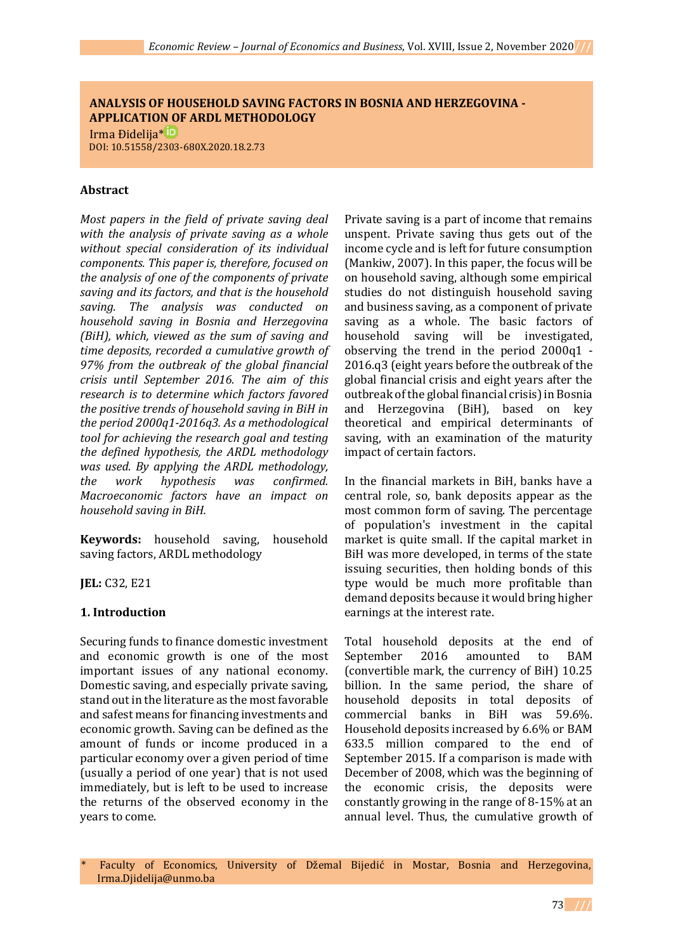# **ANALYSIS OF HOUSEHOLD SAVING FACTORS IN BOSNIA AND HERZEGOVINA - APPLICATION OF ARDL METHODOLOGY**

 Irma Đidelija[\\*](https://orcid.org/0000-0003-1666-7363) DOI: 10.51558/2303-680X.2020.18.2.73

### **Abstract**

*Most papers in the field of private saving deal with the analysis of private saving as a whole without special consideration of its individual components. This paper is, therefore, focused on the analysis of one of the components of private saving and its factors, and that is the household saving. The analysis was conducted on household saving in Bosnia and Herzegovina (BiH), which, viewed as the sum of saving and time deposits, recorded a cumulative growth of 97% from the outbreak of the global financial crisis until September 2016. The aim of this research is to determine which factors favored the positive trends of household saving in BiH in the period 2000q1-2016q3. As a methodological tool for achieving the research goal and testing the defined hypothesis, the ARDL methodology was used. By applying the ARDL methodology, the work hypothesis was confirmed. Macroeconomic factors have an impact on household saving in BiH.*

**Keywords:** household saving, household saving factors, ARDL methodology

**JEL:** C32, E21

# **1. Introduction**

Securing funds to finance domestic investment and economic growth is one of the most important issues of any national economy. Domestic saving, and especially private saving, stand out in the literature as the most favorable and safest means for financing investments and economic growth. Saving can be defined as the amount of funds or income produced in a particular economy over a given period of time (usually a period of one year) that is not used immediately, but is left to be used to increase the returns of the observed economy in the years to come.

Private saving is a part of income that remains unspent. Private saving thus gets out of the income cycle and is left for future consumption (Mankiw, 2007). In this paper, the focus will be on household saving, although some empirical studies do not distinguish household saving and business saving, as a component of private saving as a whole. The basic factors of household saving will be investigated, observing the trend in the period 2000q1 - 2016.q3 (eight years before the outbreak of the global financial crisis and eight years after the outbreak of the global financial crisis) in Bosnia and Herzegovina (BiH), based on key theoretical and empirical determinants of saving, with an examination of the maturity impact of certain factors.

In the financial markets in BiH, banks have a central role, so, bank deposits appear as the most common form of saving. The percentage of population's investment in the capital market is quite small. If the capital market in BiH was more developed, in terms of the state issuing securities, then holding bonds of this type would be much more profitable than demand deposits because it would bring higher earnings at the interest rate.

Total household deposits at the end of September 2016 amounted to BAM (convertible mark, the currency of BiH) 10.25 billion. In the same period, the share of household deposits in total deposits of commercial banks in BiH was 59.6%. Household deposits increased by 6.6% or BAM 633.5 million compared to the end of September 2015. If a comparison is made with December of 2008, which was the beginning of the economic crisis, the deposits were constantly growing in the range of 8-15% at an annual level. Thus, the cumulative growth of

Faculty of Economics, University of Džemal Bijedić in Mostar, Bosnia and Herzegovina, Irma.Djidelija@unmo.ba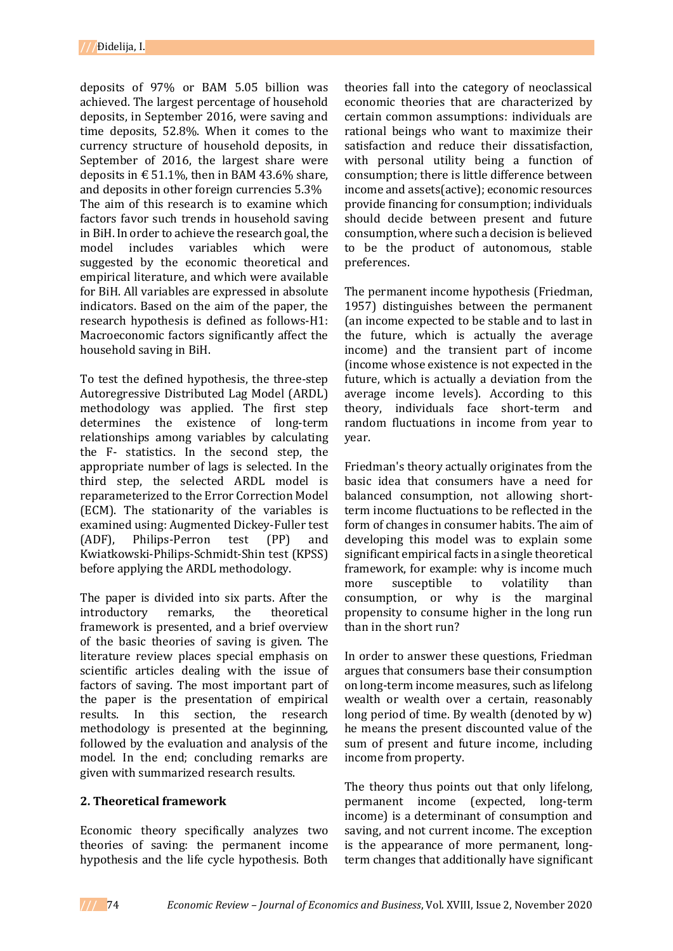deposits of 97% or BAM 5.05 billion was achieved. The largest percentage of household deposits, in September 2016, were saving and time deposits, 52.8%. When it comes to the currency structure of household deposits, in September of 2016, the largest share were deposits in  $\epsilon$  51.1%, then in BAM 43.6% share, and deposits in other foreign currencies 5.3% The aim of this research is to examine which factors favor such trends in household saving in BiH. In order to achieve the research goal, the model includes variables which were suggested by the economic theoretical and empirical literature, and which were available for BiH. All variables are expressed in absolute indicators. Based on the aim of the paper, the research hypothesis is defined as follows-H1: Macroeconomic factors significantly affect the household saving in BiH.

To test the defined hypothesis, the three-step Autoregressive Distributed Lag Model (ARDL) methodology was applied. The first step determines the existence of long-term relationships among variables by calculating the F- statistics. In the second step, the appropriate number of lags is selected. In the third step, the selected ARDL model is reparameterized to the Error Correction Model (ECM). The stationarity of the variables is examined using: Augmented Dickey-Fuller test (ADF), Philips-Perron test (PP) and Kwiatkowski-Philips-Schmidt-Shin test (KPSS) before applying the ARDL methodology.

The paper is divided into six parts. After the introductory remarks, the theoretical framework is presented, and a brief overview of the basic theories of saving is given. The literature review places special emphasis on scientific articles dealing with the issue of factors of saving. The most important part of the paper is the presentation of empirical results. In this section, the research methodology is presented at the beginning, followed by the evaluation and analysis of the model. In the end; concluding remarks are given with summarized research results.

# **2. Theoretical framework**

Economic theory specifically analyzes two theories of saving: the permanent income hypothesis and the life cycle hypothesis. Both

theories fall into the category of neoclassical economic theories that are characterized by certain common assumptions: individuals are rational beings who want to maximize their satisfaction and reduce their dissatisfaction, with personal utility being a function of consumption; there is little difference between income and assets(active); economic resources provide financing for consumption; individuals should decide between present and future consumption, where such a decision is believed to be the product of autonomous, stable preferences.

The permanent income hypothesis (Friedman, 1957) distinguishes between the permanent (an income expected to be stable and to last in the future, which is actually the average income) and the transient part of income (income whose existence is not expected in the future, which is actually a deviation from the average income levels). According to this theory, individuals face short-term and random fluctuations in income from year to year.

Friedman's theory actually originates from the basic idea that consumers have a need for balanced consumption, not allowing shortterm income fluctuations to be reflected in the form of changes in consumer habits. The aim of developing this model was to explain some significant empirical facts in a single theoretical framework, for example: why is income much more susceptible to volatility than consumption, or why is the marginal propensity to consume higher in the long run than in the short run?

In order to answer these questions, Friedman argues that consumers base their consumption on long-term income measures, such as lifelong wealth or wealth over a certain, reasonably long period of time. By wealth (denoted by w) he means the present discounted value of the sum of present and future income, including income from property.

The theory thus points out that only lifelong, permanent income (expected, long-term income) is a determinant of consumption and saving, and not current income. The exception is the appearance of more permanent, longterm changes that additionally have significant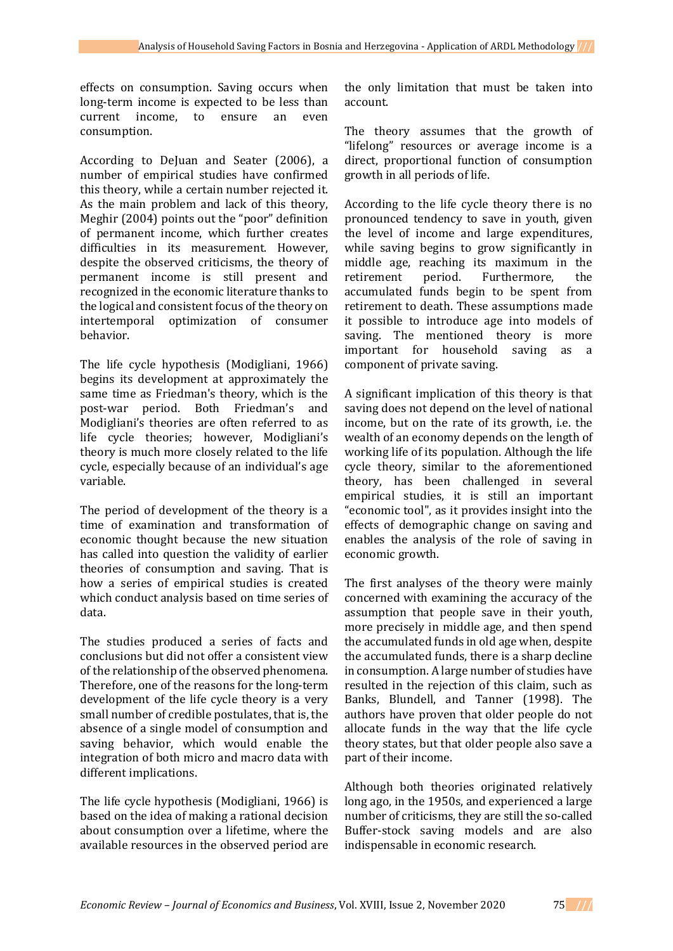effects on consumption. Saving occurs when long-term income is expected to be less than current income, to ensure an even consumption.

According to DeJuan and Seater (2006), a number of empirical studies have confirmed this theory, while a certain number rejected it. As the main problem and lack of this theory, Meghir (2004) points out the "poor" definition of permanent income, which further creates difficulties in its measurement. However, despite the observed criticisms, the theory of permanent income is still present and recognized in the economic literature thanks to the logical and consistent focus of the theory on intertemporal optimization of consumer behavior.

The life cycle hypothesis (Modigliani, 1966) begins its development at approximately the same time as Friedman's theory, which is the post-war period. Both Friedman's and Modigliani's theories are often referred to as life cycle theories; however, Modigliani's theory is much more closely related to the life cycle, especially because of an individual's age variable.

The period of development of the theory is a time of examination and transformation of economic thought because the new situation has called into question the validity of earlier theories of consumption and saving. That is how a series of empirical studies is created which conduct analysis based on time series of data.

The studies produced a series of facts and conclusions but did not offer a consistent view of the relationship of the observed phenomena. Therefore, one of the reasons for the long-term development of the life cycle theory is a very small number of credible postulates, that is, the absence of a single model of consumption and saving behavior, which would enable the integration of both micro and macro data with different implications.

The life cycle hypothesis (Modigliani, 1966) is based on the idea of making a rational decision about consumption over a lifetime, where the available resources in the observed period are the only limitation that must be taken into account.

The theory assumes that the growth of "lifelong" resources or average income is a direct, proportional function of consumption growth in all periods of life.

According to the life cycle theory there is no pronounced tendency to save in youth, given the level of income and large expenditures, while saving begins to grow significantly in middle age, reaching its maximum in the retirement period. Furthermore, the accumulated funds begin to be spent from retirement to death. These assumptions made it possible to introduce age into models of saving. The mentioned theory is more important for household saving as a component of private saving.

A significant implication of this theory is that saving does not depend on the level of national income, but on the rate of its growth, i.e. the wealth of an economy depends on the length of working life of its population. Although the life cycle theory, similar to the aforementioned theory, has been challenged in several empirical studies, it is still an important "economic tool", as it provides insight into the effects of demographic change on saving and enables the analysis of the role of saving in economic growth.

The first analyses of the theory were mainly concerned with examining the accuracy of the assumption that people save in their youth, more precisely in middle age, and then spend the accumulated funds in old age when, despite the accumulated funds, there is a sharp decline in consumption. A large number of studies have resulted in the rejection of this claim, such as Banks, Blundell, and Tanner (1998). The authors have proven that older people do not allocate funds in the way that the life cycle theory states, but that older people also save a part of their income.

Although both theories originated relatively long ago, in the 1950s, and experienced a large number of criticisms, they are still the so-called Buffer-stock saving models and are also indispensable in economic research.

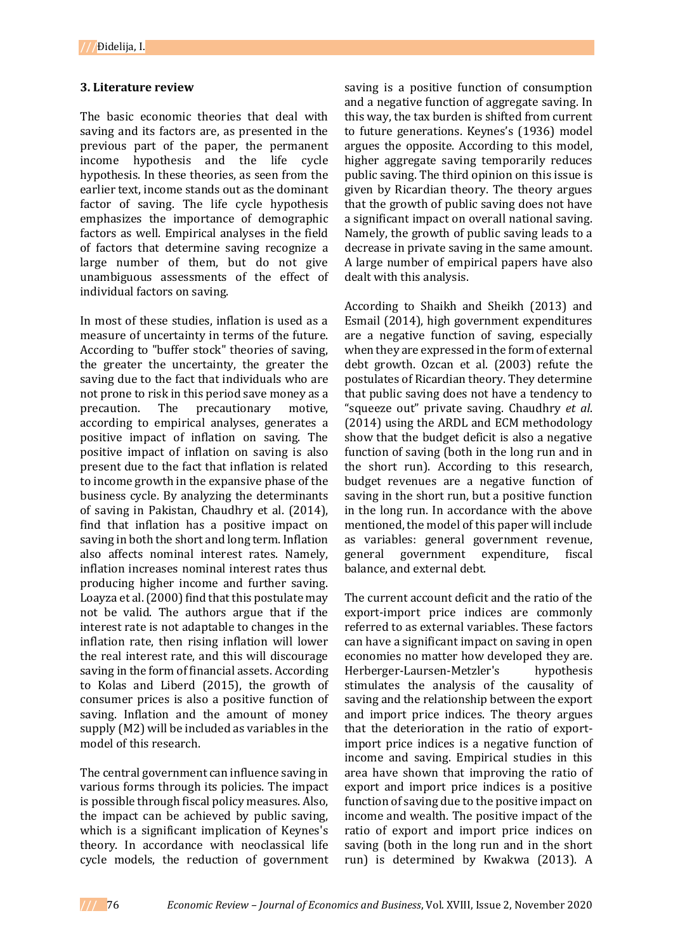## **3. Literature review**

The basic economic theories that deal with saving and its factors are, as presented in the previous part of the paper, the permanent income hypothesis and the life cycle hypothesis. In these theories, as seen from the earlier text, income stands out as the dominant factor of saving. The life cycle hypothesis emphasizes the importance of demographic factors as well. Empirical analyses in the field of factors that determine saving recognize a large number of them, but do not give unambiguous assessments of the effect of individual factors on saving.

In most of these studies, inflation is used as a measure of uncertainty in terms of the future. According to "buffer stock" theories of saving, the greater the uncertainty, the greater the saving due to the fact that individuals who are not prone to risk in this period save money as a precaution. The precautionary motive, according to empirical analyses, generates a positive impact of inflation on saving. The positive impact of inflation on saving is also present due to the fact that inflation is related to income growth in the expansive phase of the business cycle. By analyzing the determinants of saving in Pakistan, Chaudhry et al. (2014), find that inflation has a positive impact on saving in both the short and long term. Inflation also affects nominal interest rates. Namely, inflation increases nominal interest rates thus producing higher income and further saving. Loayza et al. (2000) find that this postulate may not be valid. The authors argue that if the interest rate is not adaptable to changes in the inflation rate, then rising inflation will lower the real interest rate, and this will discourage saving in the form of financial assets. According to Kolas and Liberd (2015), the growth of consumer prices is also a positive function of saving. Inflation and the amount of money supply (M2) will be included as variables in the model of this research.

The central government can influence saving in various forms through its policies. The impact is possible through fiscal policy measures. Also, the impact can be achieved by public saving, which is a significant implication of Keynes's theory. In accordance with neoclassical life cycle models, the reduction of government

saving is a positive function of consumption and a negative function of aggregate saving. In this way, the tax burden is shifted from current to future generations. Keynes's (1936) model argues the opposite. According to this model, higher aggregate saving temporarily reduces public saving. The third opinion on this issue is given by Ricardian theory. The theory argues that the growth of public saving does not have a significant impact on overall national saving. Namely, the growth of public saving leads to a decrease in private saving in the same amount. A large number of empirical papers have also dealt with this analysis.

According to Shaikh and Sheikh (2013) and Esmail (2014), high government expenditures are a negative function of saving, especially when they are expressed in the form of external debt growth. Ozcan et al. (2003) refute the postulates of Ricardian theory. They determine that public saving does not have a tendency to "squeeze out" private saving. Chaudhry *et al*. (2014) using the ARDL and ECM methodology show that the budget deficit is also a negative function of saving (both in the long run and in the short run). According to this research, budget revenues are a negative function of saving in the short run, but a positive function in the long run. In accordance with the above mentioned, the model of this paper will include as variables: general government revenue, general government expenditure, fiscal balance, and external debt.

The current account deficit and the ratio of the export-import price indices are commonly referred to as external variables. These factors can have a significant impact on saving in open economies no matter how developed they are. Herberger-Laursen-Metzler's hypothesis stimulates the analysis of the causality of saving and the relationship between the export and import price indices. The theory argues that the deterioration in the ratio of exportimport price indices is a negative function of income and saving. Empirical studies in this area have shown that improving the ratio of export and import price indices is a positive function of saving due to the positive impact on income and wealth. The positive impact of the ratio of export and import price indices on saving (both in the long run and in the short run) is determined by Kwakwa (2013). A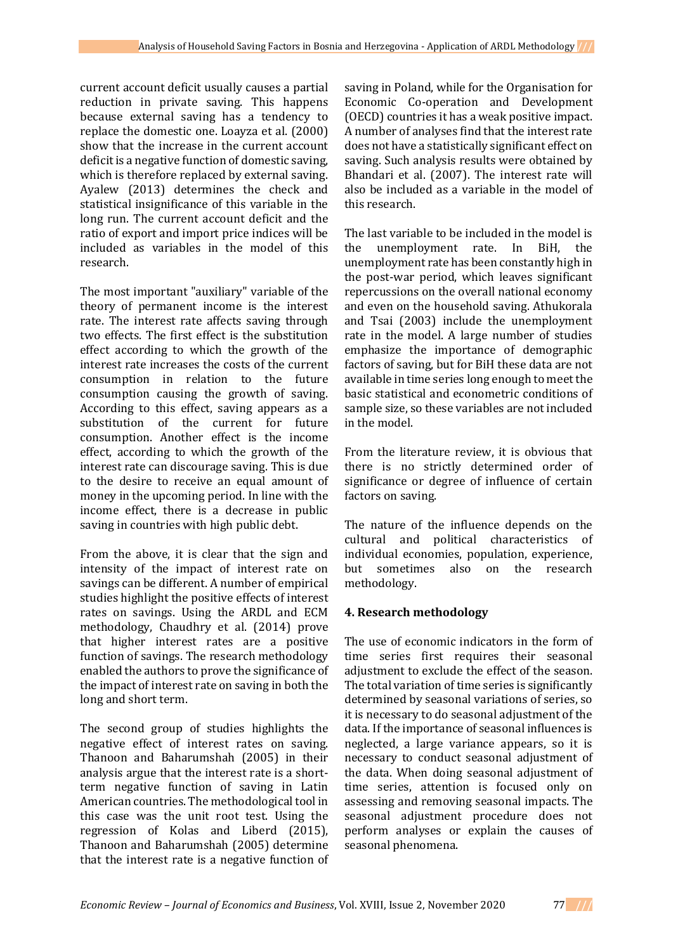current account deficit usually causes a partial reduction in private saving. This happens because external saving has a tendency to replace the domestic one. Loayza et al. (2000) show that the increase in the current account deficit is a negative function of domestic saving, which is therefore replaced by external saving. Ayalew (2013) determines the check and statistical insignificance of this variable in the long run. The current account deficit and the ratio of export and import price indices will be included as variables in the model of this research.

The most important "auxiliary" variable of the theory of permanent income is the interest rate. The interest rate affects saving through two effects. The first effect is the substitution effect according to which the growth of the interest rate increases the costs of the current consumption in relation to the future consumption causing the growth of saving. According to this effect, saving appears as a substitution of the current for future consumption. Another effect is the income effect, according to which the growth of the interest rate can discourage saving. This is due to the desire to receive an equal amount of money in the upcoming period. In line with the income effect, there is a decrease in public saving in countries with high public debt.

From the above, it is clear that the sign and intensity of the impact of interest rate on savings can be different. A number of empirical studies highlight the positive effects of interest rates on savings. Using the ARDL and ECM methodology, Chaudhry et al. (2014) prove that higher interest rates are a positive function of savings. The research methodology enabled the authors to prove the significance of the impact of interest rate on saving in both the long and short term.

The second group of studies highlights the negative effect of interest rates on saving. Thanoon and Baharumshah (2005) in their analysis argue that the interest rate is a shortterm negative function of saving in Latin American countries. The methodological tool in this case was the unit root test. Using the regression of Kolas and Liberd (2015), Thanoon and Baharumshah (2005) determine that the interest rate is a negative function of

saving in Poland, while for the Organisation for Economic Co-operation and Development (OECD) countries it has a weak positive impact. A number of analyses find that the interest rate does not have a statistically significant effect on saving. Such analysis results were obtained by Bhandari et al. (2007). The interest rate will also be included as a variable in the model of this research.

The last variable to be included in the model is the unemployment rate. In BiH, the unemployment rate has been constantly high in the post-war period, which leaves significant repercussions on the overall national economy and even on the household saving. Athukorala and Tsai (2003) include the unemployment rate in the model. A large number of studies emphasize the importance of demographic factors of saving, but for BiH these data are not available in time series long enough to meet the basic statistical and econometric conditions of sample size, so these variables are not included in the model.

From the literature review, it is obvious that there is no strictly determined order of significance or degree of influence of certain factors on saving.

The nature of the influence depends on the cultural and political characteristics of individual economies, population, experience, but sometimes also on the research methodology.

# **4. Research methodology**

The use of economic indicators in the form of time series first requires their seasonal adjustment to exclude the effect of the season. The total variation of time series is significantly determined by seasonal variations of series, so it is necessary to do seasonal adjustment of the data. If the importance of seasonal influences is neglected, a large variance appears, so it is necessary to conduct seasonal adjustment of the data. When doing seasonal adjustment of time series, attention is focused only on assessing and removing seasonal impacts. The seasonal adjustment procedure does not perform analyses or explain the causes of seasonal phenomena.

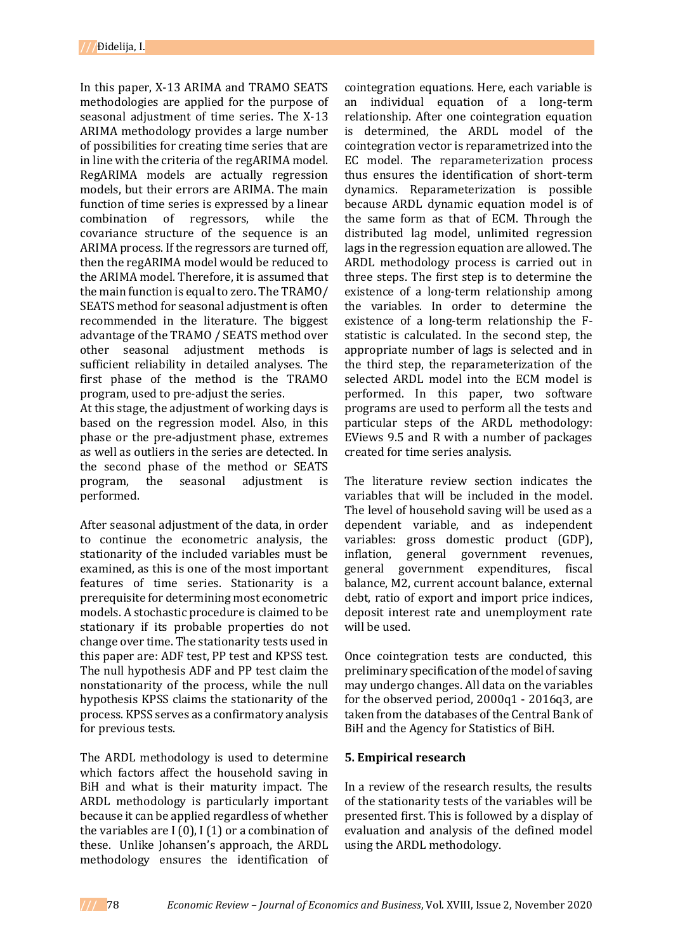In this paper, X-13 ARIMA and TRAMO SEATS methodologies are applied for the purpose of seasonal adjustment of time series. The X-13 ARIMA methodology provides a large number of possibilities for creating time series that are in line with the criteria of the regARIMA model. RegARIMA models are actually regression models, but their errors are ARIMA. The main function of time series is expressed by a linear combination of regressors, while the covariance structure of the sequence is an ARIMA process. If the regressors are turned off, then the regARIMA model would be reduced to the ARIMA model. Therefore, it is assumed that the main function is equal to zero. The TRAMO/ SEATS method for seasonal adjustment is often recommended in the literature. The biggest advantage of the TRAMO / SEATS method over other seasonal adjustment methods is sufficient reliability in detailed analyses. The first phase of the method is the TRAMO program, used to pre-adjust the series.

At this stage, the adjustment of working days is based on the regression model. Also, in this phase or the pre-adjustment phase, extremes as well as outliers in the series are detected. In the second phase of the method or SEATS program, the seasonal adjustment is performed.

After seasonal adjustment of the data, in order to continue the econometric analysis, the stationarity of the included variables must be examined, as this is one of the most important features of time series. Stationarity is a prerequisite for determining most econometric models. A stochastic procedure is claimed to be stationary if its probable properties do not change over time. The stationarity tests used in this paper are: ADF test, PP test and KPSS test. The null hypothesis ADF and PP test claim the nonstationarity of the process, while the null hypothesis KPSS claims the stationarity of the process. KPSS serves as a confirmatory analysis for previous tests.

The ARDL methodology is used to determine which factors affect the household saving in BiH and what is their maturity impact. The ARDL methodology is particularly important because it can be applied regardless of whether the variables are  $I(0)$ ,  $I(1)$  or a combination of these. Unlike Johansen's approach, the ARDL methodology ensures the identification of

cointegration equations. Here, each variable is an individual equation of a long-term relationship. After one cointegration equation is determined, the ARDL model of the cointegration vector is reparametrized into the EC model. The reparameterization process thus ensures the identification of short-term dynamics. Reparameterization is possible because ARDL dynamic equation model is of the same form as that of ECM. Through the distributed lag model, unlimited regression lags in the regression equation are allowed. The ARDL methodology process is carried out in three steps. The first step is to determine the existence of a long-term relationship among the variables. In order to determine the existence of a long-term relationship the Fstatistic is calculated. In the second step, the appropriate number of lags is selected and in the third step, the reparameterization of the selected ARDL model into the ECM model is performed. In this paper, two software programs are used to perform all the tests and particular steps of the ARDL methodology: EViews 9.5 and R with a number of packages created for time series analysis.

The literature review section indicates the variables that will be included in the model. The level of household saving will be used as a dependent variable, and as independent variables: gross domestic product (GDP), inflation, general government revenues, general government expenditures, fiscal balance, M2, current account balance, external debt, ratio of export and import price indices, deposit interest rate and unemployment rate will be used.

Once cointegration tests are conducted, this preliminary specification of the model of saving may undergo changes. All data on the variables for the observed period, 2000q1 - 2016q3, are taken from the databases of the Central Bank of BiH and the Agency for Statistics of BiH.

# **5. Empirical research**

In a review of the research results, the results of the stationarity tests of the variables will be presented first. This is followed by a display of evaluation and analysis of the defined model using the ARDL methodology.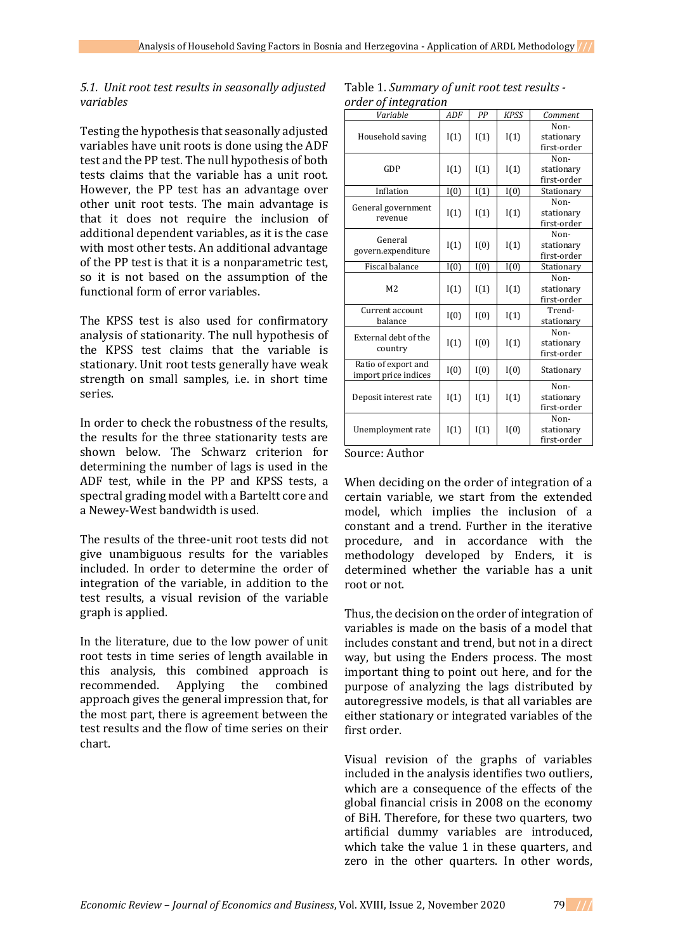### *5.1. Unit root test results in seasonally adjusted variables*

Testing the hypothesis that seasonally adjusted variables have unit roots is done using the ADF test and the PP test. The null hypothesis of both tests claims that the variable has a unit root. However, the PP test has an advantage over other unit root tests. The main advantage is that it does not require the inclusion of additional dependent variables, as it is the case with most other tests. An additional advantage of the PP test is that it is a nonparametric test, so it is not based on the assumption of the functional form of error variables.

The KPSS test is also used for confirmatory analysis of stationarity. The null hypothesis of the KPSS test claims that the variable is stationary. Unit root tests generally have weak strength on small samples, i.e. in short time series.

In order to check the robustness of the results, the results for the three stationarity tests are shown below. The Schwarz criterion for determining the number of lags is used in the ADF test, while in the PP and KPSS tests, a spectral grading model with a Barteltt core and a Newey-West bandwidth is used.

The results of the three-unit root tests did not give unambiguous results for the variables included. In order to determine the order of integration of the variable, in addition to the test results, a visual revision of the variable graph is applied.

In the literature, due to the low power of unit root tests in time series of length available in this analysis, this combined approach is recommended. Applying the combined approach gives the general impression that, for the most part, there is agreement between the test results and the flow of time series on their chart.

| Table 1. Summary of unit root test results - |
|----------------------------------------------|
| order of integration                         |

| Variable                                    | ADF  | PP           | <b>KPSS</b> | Comment     |
|---------------------------------------------|------|--------------|-------------|-------------|
|                                             | I(1) | I(1)         | I(1)        | Non-        |
| Household saving                            |      |              |             | stationary  |
|                                             |      |              |             | first-order |
|                                             |      |              |             | Non-        |
| GDP                                         | I(1) | I(1)         | I(1)        | stationary  |
|                                             |      |              |             | first-order |
| Inflation                                   | I(0) | I(1)         | I(0)        | Stationary  |
| General government                          | I(1) | I(1)         | I(1)        | Non-        |
| revenue                                     |      |              |             | stationary  |
|                                             |      |              |             | first-order |
| General                                     | I(1) | I(0)         | I(1)        | Non-        |
| govern.expenditure                          |      |              |             | stationary  |
|                                             |      |              |             | first-order |
| Fiscal balance                              | I(0) | I(0)         | I(0)        | Stationary  |
|                                             | I(1) | I(1)         | I(1)        | Non-        |
| M <sub>2</sub>                              |      |              |             | stationary  |
|                                             |      |              |             | first-order |
| Current account                             | I(0) | I(0)         | I(1)        | Trend-      |
| balance                                     |      |              |             | stationary  |
| External debt of the                        | I(1) | I(0)<br>I(1) |             | Non-        |
| country                                     |      |              |             | stationary  |
|                                             |      |              | first-order |             |
| Ratio of export and<br>import price indices | I(0) | I(0)         | I(0)        | Stationary  |
|                                             |      | I(1)         | I(1)        | Non-        |
| Deposit interest rate                       | I(1) |              |             | stationary  |
|                                             |      |              |             | first-order |
|                                             | I(1) | I(1)         | I(0)        | Non-        |
| Unemployment rate                           |      |              |             | stationary  |
|                                             |      |              |             | first-order |

Source: Author

When deciding on the order of integration of a certain variable, we start from the extended model, which implies the inclusion of a constant and a trend. Further in the iterative procedure, and in accordance with the methodology developed by Enders, it is determined whether the variable has a unit root or not.

Thus, the decision on the order of integration of variables is made on the basis of a model that includes constant and trend, but not in a direct way, but using the Enders process. The most important thing to point out here, and for the purpose of analyzing the lags distributed by autoregressive models, is that all variables are either stationary or integrated variables of the first order.

Visual revision of the graphs of variables included in the analysis identifies two outliers, which are a consequence of the effects of the global financial crisis in 2008 on the economy of BiH. Therefore, for these two quarters, two artificial dummy variables are introduced, which take the value 1 in these quarters, and zero in the other quarters. In other words,

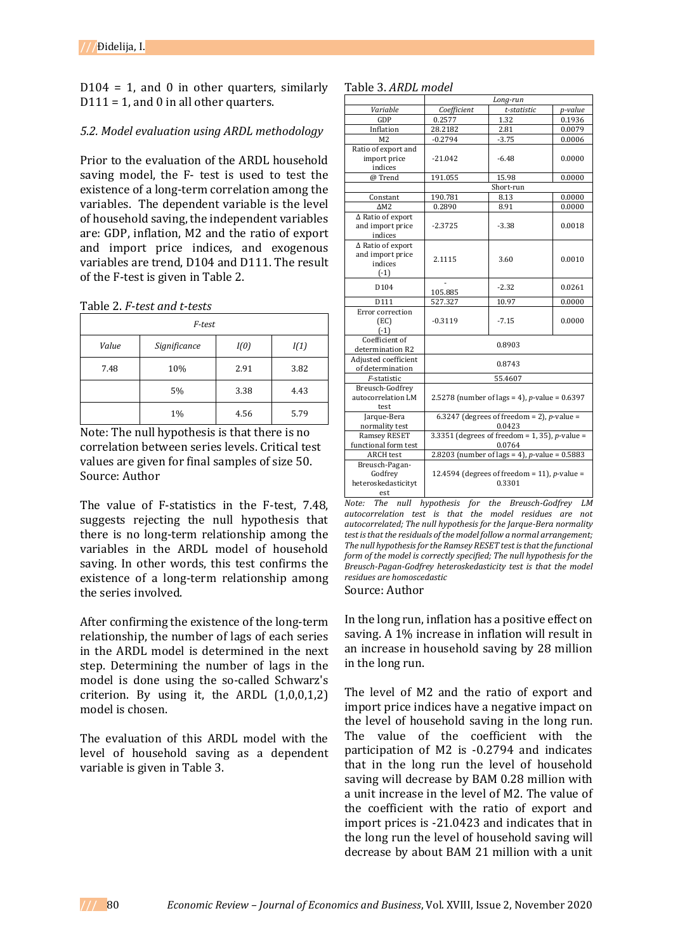$D104 = 1$ , and 0 in other quarters, similarly  $D111 = 1$ , and 0 in all other quarters.

#### *5.2. Model evaluation using ARDL methodology*

Prior to the evaluation of the ARDL household saving model, the F- test is used to test the existence of a long-term correlation among the variables. The dependent variable is the level of household saving, the independent variables are: GDP, inflation, M2 and the ratio of export and import price indices, and exogenous variables are trend, D104 and D111. The result of the F-test is given in Table 2.

Table 2. *F-test and t-tests*

| F-test |              |      |      |  |  |
|--------|--------------|------|------|--|--|
| Value  | Significance | I(0) | I(1) |  |  |
| 7.48   | 10%          | 2.91 | 3.82 |  |  |
|        | 5%           | 3.38 | 4.43 |  |  |
|        | 1%           | 4.56 | 5.79 |  |  |

Note: The null hypothesis is that there is no correlation between series levels. Critical test values are given for final samples of size 50. Source: Author

The value of F-statistics in the F-test, 7.48, suggests rejecting the null hypothesis that there is no long-term relationship among the variables in the ARDL model of household saving. In other words, this test confirms the existence of a long-term relationship among the series involved.

After confirming the existence of the long-term relationship, the number of lags of each series in the ARDL model is determined in the next step. Determining the number of lags in the model is done using the so-called Schwarz's criterion. By using it, the ARDL (1,0,0,1,2) model is chosen.

The evaluation of this ARDL model with the level of household saving as a dependent variable is given in Table 3.

|                                                            | Long-run                                                  |             |         |  |  |
|------------------------------------------------------------|-----------------------------------------------------------|-------------|---------|--|--|
| Variable                                                   | Coefficient                                               | t-statistic | p-value |  |  |
| GDP                                                        | 0.2577                                                    | 1.32        | 0.1936  |  |  |
| Inflation                                                  | 28.2182                                                   | 2.81        | 0.0079  |  |  |
| M <sub>2</sub>                                             | $-0.2794$                                                 | $-3.75$     | 0.0006  |  |  |
| Ratio of export and<br>import price                        | $-21.042$                                                 | $-6.48$     | 0.0000  |  |  |
| indices                                                    |                                                           |             |         |  |  |
| @Trend                                                     | 191.055                                                   | 15.98       | 0.0000  |  |  |
|                                                            | Short-run                                                 |             |         |  |  |
| Constant                                                   | 190.781                                                   | 8.13        | 0.0000  |  |  |
| $\Delta M2$                                                | 0.2890                                                    | 8.91        | 0.0000  |  |  |
| $\Delta$ Ratio of export<br>and import price<br>indices    | $-2.3725$                                                 | $-3.38$     | 0.0018  |  |  |
| ∆ Ratio of export<br>and import price<br>indices<br>$(-1)$ | 2.1115                                                    | 3.60        | 0.0010  |  |  |
| D <sub>104</sub>                                           | 105.885                                                   | $-2.32$     | 0.0261  |  |  |
| D111                                                       | 527.327                                                   | 10.97       | 0.0000  |  |  |
| Error correction<br>(EC)<br>$(-1)$                         | $-0.3119$                                                 | $-7.15$     | 0.0000  |  |  |
| Coefficient of<br>determination R2                         | 0.8903                                                    |             |         |  |  |
| Adjusted coefficient<br>of determination                   | 0.8743                                                    |             |         |  |  |
| F-statistic                                                | 55.4607                                                   |             |         |  |  |
| Breusch-Godfrey<br>autocorrelation LM<br>test              | 2.5278 (number of lags = 4), <i>p</i> -value = $0.6397$   |             |         |  |  |
| Jarque-Bera<br>normality test                              | 6.3247 (degrees of freedom = 2), p-value =<br>0.0423      |             |         |  |  |
| <b>Ramsey RESET</b>                                        | 3.3351 (degrees of freedom = 1, 35), $p$ -value =         |             |         |  |  |
| functional form test                                       | 0.0764                                                    |             |         |  |  |
| <b>ARCH</b> test                                           | 2.8203 (number of lags = 4), $p$ -value = 0.5883          |             |         |  |  |
| Breusch-Pagan-<br>Godfrey<br>heteroskedasticityt<br>est    | 12.4594 (degrees of freedom = 11), $p$ -value =<br>0.3301 |             |         |  |  |

*Note: The null hypothesis for the Breusch-Godfrey LM autocorrelation test is that the model residues are not autocorrelated; The null hypothesis for the Jarque-Bera normality test is that the residuals of the model follow a normal arrangement; The null hypothesis for the Ramsey RESET test is that the functional form of the model is correctly specified; The null hypothesis for the Breusch-Pagan-Godfrey heteroskedasticity test is that the model residues are homoscedastic*

#### Source: Author

In the long run, inflation has a positive effect on saving. A 1% increase in inflation will result in an increase in household saving by 28 million in the long run.

The level of M2 and the ratio of export and import price indices have a negative impact on the level of household saving in the long run. The value of the coefficient with the participation of M2 is -0.2794 and indicates that in the long run the level of household saving will decrease by BAM 0.28 million with a unit increase in the level of M2. The value of the coefficient with the ratio of export and import prices is -21.0423 and indicates that in the long run the level of household saving will decrease by about BAM 21 million with a unit

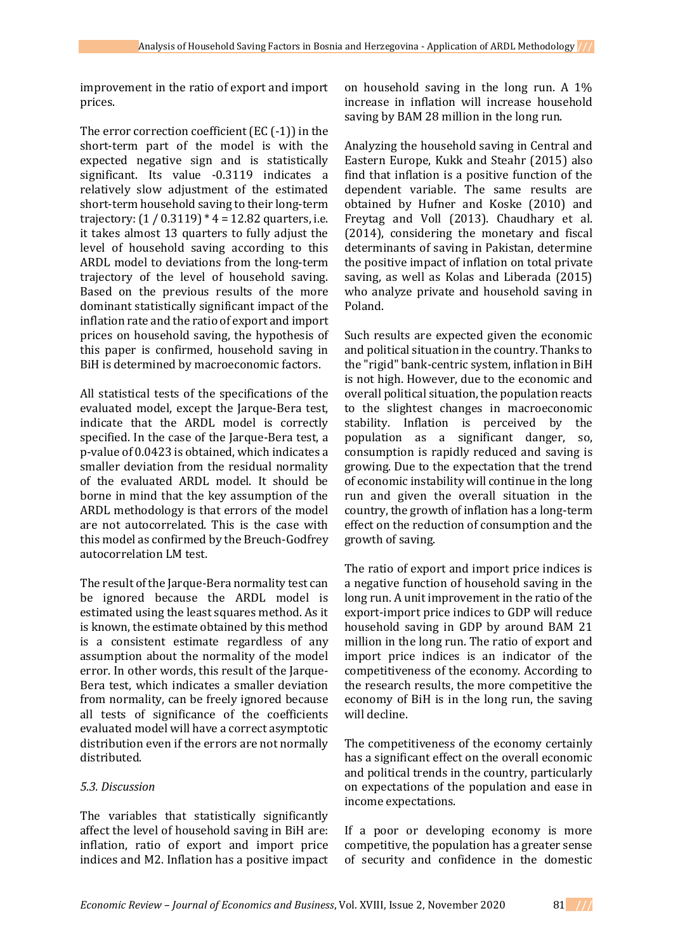improvement in the ratio of export and import prices.

The error correction coefficient (EC (-1)) in the short-term part of the model is with the expected negative sign and is statistically significant. Its value -0.3119 indicates a relatively slow adjustment of the estimated short-term household saving to their long-term trajectory:  $(1 / 0.3119) * 4 = 12.82$  quarters, i.e. it takes almost 13 quarters to fully adjust the level of household saving according to this ARDL model to deviations from the long-term trajectory of the level of household saving. Based on the previous results of the more dominant statistically significant impact of the inflation rate and the ratio of export and import prices on household saving, the hypothesis of this paper is confirmed, household saving in BiH is determined by macroeconomic factors.

All statistical tests of the specifications of the evaluated model, except the Jarque-Bera test, indicate that the ARDL model is correctly specified. In the case of the Jarque-Bera test, a p-value of 0.0423 is obtained, which indicates a smaller deviation from the residual normality of the evaluated ARDL model. It should be borne in mind that the key assumption of the ARDL methodology is that errors of the model are not autocorrelated. This is the case with this model as confirmed by the Breuch-Godfrey autocorrelation LM test.

The result of the Jarque-Bera normality test can be ignored because the ARDL model is estimated using the least squares method. As it is known, the estimate obtained by this method is a consistent estimate regardless of any assumption about the normality of the model error. In other words, this result of the Jarque-Bera test, which indicates a smaller deviation from normality, can be freely ignored because all tests of significance of the coefficients evaluated model will have a correct asymptotic distribution even if the errors are not normally distributed.

# *5.3. Discussion*

The variables that statistically significantly affect the level of household saving in BiH are: inflation, ratio of export and import price indices and M2. Inflation has a positive impact

on household saving in the long run. A 1% increase in inflation will increase household saving by BAM 28 million in the long run.

Analyzing the household saving in Central and Eastern Europe, Kukk and Steahr (2015) also find that inflation is a positive function of the dependent variable. The same results are obtained by Hufner and Koske (2010) and Freytag and Voll (2013). Chaudhary et al. (2014), considering the monetary and fiscal determinants of saving in Pakistan, determine the positive impact of inflation on total private saving, as well as Kolas and Liberada (2015) who analyze private and household saving in Poland.

Such results are expected given the economic and political situation in the country. Thanks to the "rigid" bank-centric system, inflation in BiH is not high. However, due to the economic and overall political situation, the population reacts to the slightest changes in macroeconomic stability. Inflation is perceived by the population as a significant danger, so, consumption is rapidly reduced and saving is growing. Due to the expectation that the trend of economic instability will continue in the long run and given the overall situation in the country, the growth of inflation has a long-term effect on the reduction of consumption and the growth of saving.

The ratio of export and import price indices is a negative function of household saving in the long run. A unit improvement in the ratio of the export-import price indices to GDP will reduce household saving in GDP by around BAM 21 million in the long run. The ratio of export and import price indices is an indicator of the competitiveness of the economy. According to the research results, the more competitive the economy of BiH is in the long run, the saving will decline.

The competitiveness of the economy certainly has a significant effect on the overall economic and political trends in the country, particularly on expectations of the population and ease in income expectations.

If a poor or developing economy is more competitive, the population has a greater sense of security and confidence in the domestic

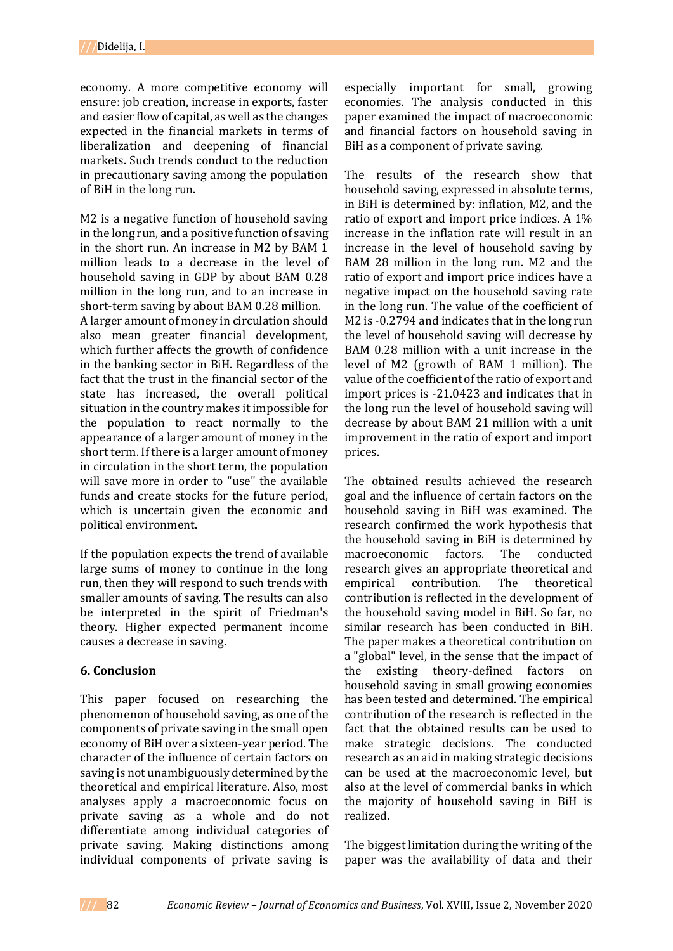economy. A more competitive economy will ensure: job creation, increase in exports, faster and easier flow of capital, as well as the changes expected in the financial markets in terms of liberalization and deepening of financial markets. Such trends conduct to the reduction in precautionary saving among the population of BiH in the long run.

M2 is a negative function of household saving in the long run, and a positive function of saving in the short run. An increase in M2 by BAM 1 million leads to a decrease in the level of household saving in GDP by about BAM 0.28 million in the long run, and to an increase in short-term saving by about BAM 0.28 million.

A larger amount of money in circulation should also mean greater financial development, which further affects the growth of confidence in the banking sector in BiH. Regardless of the fact that the trust in the financial sector of the state has increased, the overall political situation in the country makes it impossible for the population to react normally to the appearance of a larger amount of money in the short term. If there is a larger amount of money in circulation in the short term, the population will save more in order to "use" the available funds and create stocks for the future period, which is uncertain given the economic and political environment.

If the population expects the trend of available large sums of money to continue in the long run, then they will respond to such trends with smaller amounts of saving. The results can also be interpreted in the spirit of Friedman's theory. Higher expected permanent income causes a decrease in saving.

# **6. Conclusion**

This paper focused on researching the phenomenon of household saving, as one of the components of private saving in the small open economy of BiH over a sixteen-year period. The character of the influence of certain factors on saving is not unambiguously determined by the theoretical and empirical literature. Also, most analyses apply a macroeconomic focus on private saving as a whole and do not differentiate among individual categories of private saving. Making distinctions among individual components of private saving is

especially important for small, growing economies. The analysis conducted in this paper examined the impact of macroeconomic and financial factors on household saving in BiH as a component of private saving.

The results of the research show that household saving, expressed in absolute terms, in BiH is determined by: inflation, M2, and the ratio of export and import price indices. A 1% increase in the inflation rate will result in an increase in the level of household saving by BAM 28 million in the long run. M2 and the ratio of export and import price indices have a negative impact on the household saving rate in the long run. The value of the coefficient of M2 is -0.2794 and indicates that in the long run the level of household saving will decrease by BAM 0.28 million with a unit increase in the level of M2 (growth of BAM 1 million). The value of the coefficient of the ratio of export and import prices is -21.0423 and indicates that in the long run the level of household saving will decrease by about BAM 21 million with a unit improvement in the ratio of export and import prices.

The obtained results achieved the research goal and the influence of certain factors on the household saving in BiH was examined. The research confirmed the work hypothesis that the household saving in BiH is determined by macroeconomic factors. The conducted research gives an appropriate theoretical and empirical contribution. The theoretical contribution is reflected in the development of the household saving model in BiH. So far, no similar research has been conducted in BiH. The paper makes a theoretical contribution on a "global" level, in the sense that the impact of the existing theory-defined factors on household saving in small growing economies has been tested and determined. The empirical contribution of the research is reflected in the fact that the obtained results can be used to make strategic decisions. The conducted research as an aid in making strategic decisions can be used at the macroeconomic level, but also at the level of commercial banks in which the majority of household saving in BiH is realized.

The biggest limitation during the writing of the paper was the availability of data and their